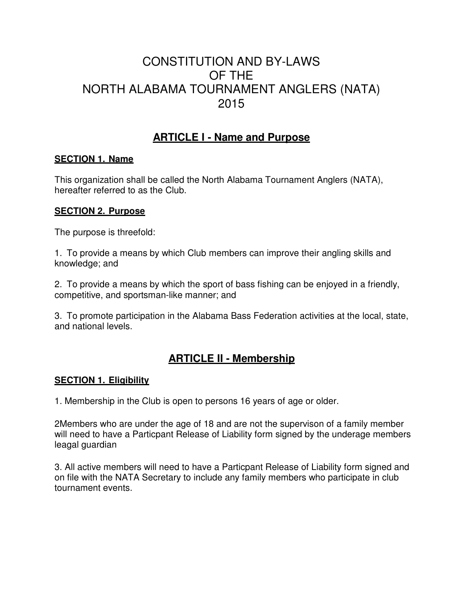# CONSTITUTION AND BY-LAWS OF THE NORTH ALABAMA TOURNAMENT ANGLERS (NATA) 2015

# **ARTICLE I - Name and Purpose**

#### **SECTION 1. Name**

This organization shall be called the North Alabama Tournament Anglers (NATA), hereafter referred to as the Club.

#### **SECTION 2. Purpose**

The purpose is threefold:

1. To provide a means by which Club members can improve their angling skills and knowledge; and

2. To provide a means by which the sport of bass fishing can be enjoyed in a friendly, competitive, and sportsman-like manner; and

3. To promote participation in the Alabama Bass Federation activities at the local, state, and national levels.

# **ARTICLE II - Membership**

## **SECTION 1. Eligibility**

1. Membership in the Club is open to persons 16 years of age or older.

2Members who are under the age of 18 and are not the supervison of a family member will need to have a Particpant Release of Liability form signed by the underage members leagal guardian

3. All active members will need to have a Particpant Release of Liability form signed and on file with the NATA Secretary to include any family members who participate in club tournament events.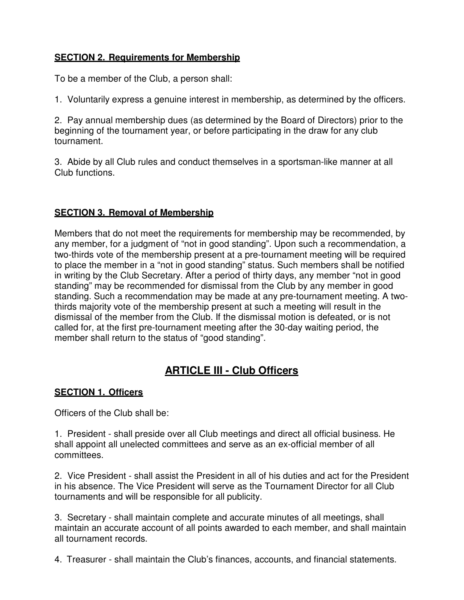# **SECTION 2. Requirements for Membership**

To be a member of the Club, a person shall:

1. Voluntarily express a genuine interest in membership, as determined by the officers.

2. Pay annual membership dues (as determined by the Board of Directors) prior to the beginning of the tournament year, or before participating in the draw for any club tournament.

3. Abide by all Club rules and conduct themselves in a sportsman-like manner at all Club functions.

#### **SECTION 3. Removal of Membership**

Members that do not meet the requirements for membership may be recommended, by any member, for a judgment of "not in good standing". Upon such a recommendation, a two-thirds vote of the membership present at a pre-tournament meeting will be required to place the member in a "not in good standing" status. Such members shall be notified in writing by the Club Secretary. After a period of thirty days, any member "not in good standing" may be recommended for dismissal from the Club by any member in good standing. Such a recommendation may be made at any pre-tournament meeting. A twothirds majority vote of the membership present at such a meeting will result in the dismissal of the member from the Club. If the dismissal motion is defeated, or is not called for, at the first pre-tournament meeting after the 30-day waiting period, the member shall return to the status of "good standing".

# **ARTICLE III - Club Officers**

## **SECTION 1. Officers**

Officers of the Club shall be:

1. President - shall preside over all Club meetings and direct all official business. He shall appoint all unelected committees and serve as an ex-official member of all committees.

2. Vice President - shall assist the President in all of his duties and act for the President in his absence. The Vice President will serve as the Tournament Director for all Club tournaments and will be responsible for all publicity.

3. Secretary - shall maintain complete and accurate minutes of all meetings, shall maintain an accurate account of all points awarded to each member, and shall maintain all tournament records.

4. Treasurer - shall maintain the Club's finances, accounts, and financial statements.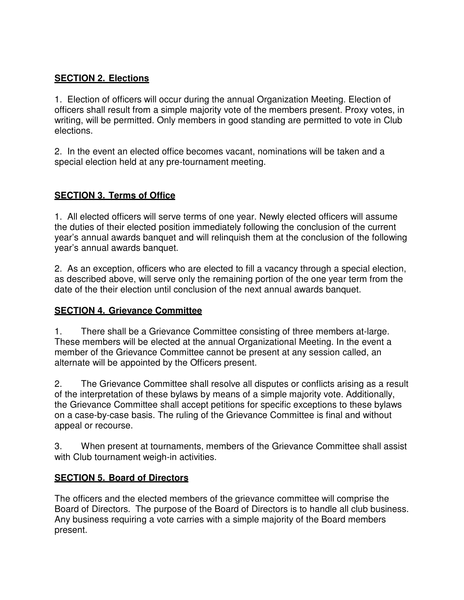# **SECTION 2. Elections**

1. Election of officers will occur during the annual Organization Meeting. Election of officers shall result from a simple majority vote of the members present. Proxy votes, in writing, will be permitted. Only members in good standing are permitted to vote in Club elections.

2. In the event an elected office becomes vacant, nominations will be taken and a special election held at any pre-tournament meeting.

# **SECTION 3. Terms of Office**

1. All elected officers will serve terms of one year. Newly elected officers will assume the duties of their elected position immediately following the conclusion of the current year's annual awards banquet and will relinquish them at the conclusion of the following year's annual awards banquet.

2. As an exception, officers who are elected to fill a vacancy through a special election, as described above, will serve only the remaining portion of the one year term from the date of the their election until conclusion of the next annual awards banquet.

## **SECTION 4. Grievance Committee**

1. There shall be a Grievance Committee consisting of three members at-large. These members will be elected at the annual Organizational Meeting. In the event a member of the Grievance Committee cannot be present at any session called, an alternate will be appointed by the Officers present.

2. The Grievance Committee shall resolve all disputes or conflicts arising as a result of the interpretation of these bylaws by means of a simple majority vote. Additionally, the Grievance Committee shall accept petitions for specific exceptions to these bylaws on a case-by-case basis. The ruling of the Grievance Committee is final and without appeal or recourse.

3. When present at tournaments, members of the Grievance Committee shall assist with Club tournament weigh-in activities.

## **SECTION 5. Board of Directors**

The officers and the elected members of the grievance committee will comprise the Board of Directors. The purpose of the Board of Directors is to handle all club business. Any business requiring a vote carries with a simple majority of the Board members present.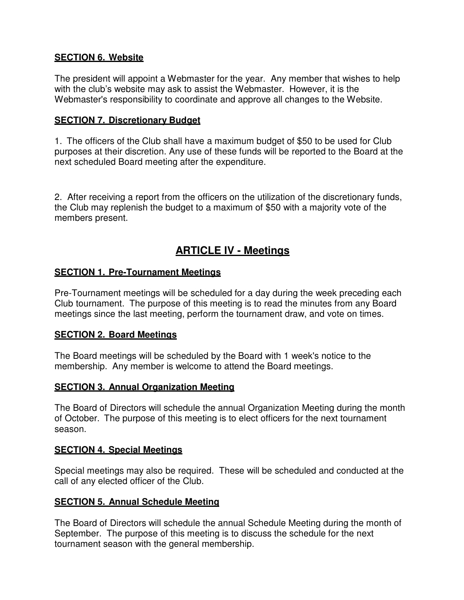#### **SECTION 6. Website**

The president will appoint a Webmaster for the year. Any member that wishes to help with the club's website may ask to assist the Webmaster. However, it is the Webmaster's responsibility to coordinate and approve all changes to the Website.

#### **SECTION 7. Discretionary Budget**

1. The officers of the Club shall have a maximum budget of \$50 to be used for Club purposes at their discretion. Any use of these funds will be reported to the Board at the next scheduled Board meeting after the expenditure.

2. After receiving a report from the officers on the utilization of the discretionary funds, the Club may replenish the budget to a maximum of \$50 with a majority vote of the members present.

# **ARTICLE IV - Meetings**

#### **SECTION 1. Pre-Tournament Meetings**

Pre-Tournament meetings will be scheduled for a day during the week preceding each Club tournament. The purpose of this meeting is to read the minutes from any Board meetings since the last meeting, perform the tournament draw, and vote on times.

#### **SECTION 2. Board Meetings**

The Board meetings will be scheduled by the Board with 1 week's notice to the membership. Any member is welcome to attend the Board meetings.

#### **SECTION 3. Annual Organization Meeting**

The Board of Directors will schedule the annual Organization Meeting during the month of October. The purpose of this meeting is to elect officers for the next tournament season.

#### **SECTION 4. Special Meetings**

Special meetings may also be required. These will be scheduled and conducted at the call of any elected officer of the Club.

#### **SECTION 5. Annual Schedule Meeting**

The Board of Directors will schedule the annual Schedule Meeting during the month of September. The purpose of this meeting is to discuss the schedule for the next tournament season with the general membership.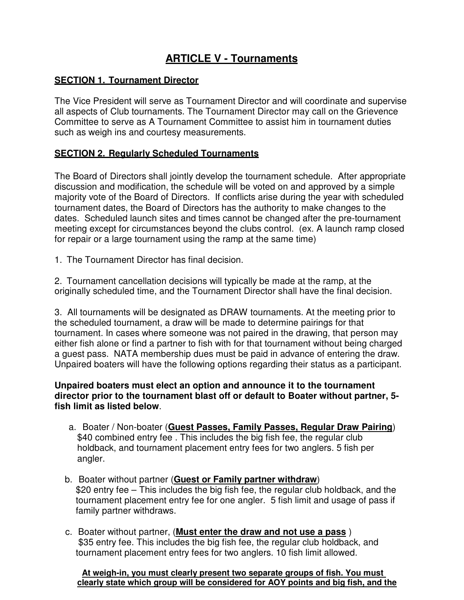# **ARTICLE V - Tournaments**

#### **SECTION 1. Tournament Director**

The Vice President will serve as Tournament Director and will coordinate and supervise all aspects of Club tournaments. The Tournament Director may call on the Grievence Committee to serve as A Tournament Committee to assist him in tournament duties such as weigh ins and courtesy measurements.

#### **SECTION 2. Regularly Scheduled Tournaments**

The Board of Directors shall jointly develop the tournament schedule. After appropriate discussion and modification, the schedule will be voted on and approved by a simple majority vote of the Board of Directors. If conflicts arise during the year with scheduled tournament dates, the Board of Directors has the authority to make changes to the dates. Scheduled launch sites and times cannot be changed after the pre-tournament meeting except for circumstances beyond the clubs control. (ex. A launch ramp closed for repair or a large tournament using the ramp at the same time)

1. The Tournament Director has final decision.

2. Tournament cancellation decisions will typically be made at the ramp, at the originally scheduled time, and the Tournament Director shall have the final decision.

3. All tournaments will be designated as DRAW tournaments. At the meeting prior to the scheduled tournament, a draw will be made to determine pairings for that tournament. In cases where someone was not paired in the drawing, that person may either fish alone or find a partner to fish with for that tournament without being charged a guest pass. NATA membership dues must be paid in advance of entering the draw. Unpaired boaters will have the following options regarding their status as a participant.

#### **Unpaired boaters must elect an option and announce it to the tournament director prior to the tournament blast off or default to Boater without partner, 5 fish limit as listed below**.

- a. Boater / Non-boater (**Guest Passes, Family Passes, Regular Draw Pairing**) \$40 combined entry fee. This includes the big fish fee, the regular club holdback, and tournament placement entry fees for two anglers. 5 fish per angler.
- b. Boater without partner (**Guest or Family partner withdraw**) \$20 entry fee – This includes the big fish fee, the regular club holdback, and the tournament placement entry fee for one angler. 5 fish limit and usage of pass if family partner withdraws.
- c. Boater without partner, (**Must enter the draw and not use a pass** ) \$35 entry fee. This includes the big fish fee, the regular club holdback, and tournament placement entry fees for two anglers. 10 fish limit allowed.

**At weigh-in, you must clearly present two separate groups of fish. You must clearly state which group will be considered for AOY points and big fish, and the**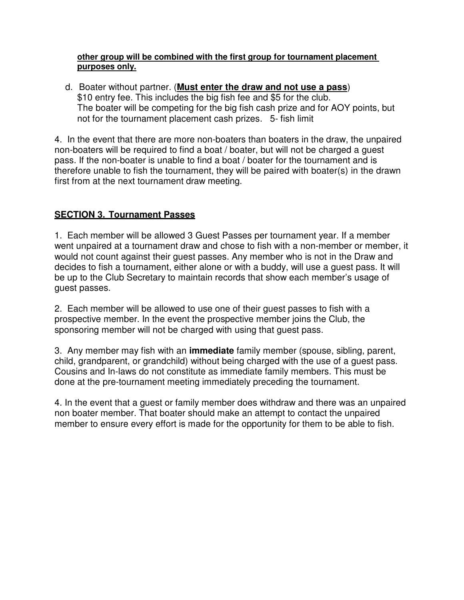#### **other group will be combined with the first group for tournament placement purposes only.**

 d. Boater without partner. (**Must enter the draw and not use a pass**) \$10 entry fee. This includes the big fish fee and \$5 for the club. The boater will be competing for the big fish cash prize and for AOY points, but not for the tournament placement cash prizes. 5- fish limit

4. In the event that there are more non-boaters than boaters in the draw, the unpaired non-boaters will be required to find a boat / boater, but will not be charged a guest pass. If the non-boater is unable to find a boat / boater for the tournament and is therefore unable to fish the tournament, they will be paired with boater(s) in the drawn first from at the next tournament draw meeting.

# **SECTION 3. Tournament Passes**

1. Each member will be allowed 3 Guest Passes per tournament year. If a member went unpaired at a tournament draw and chose to fish with a non-member or member, it would not count against their guest passes. Any member who is not in the Draw and decides to fish a tournament, either alone or with a buddy, will use a guest pass. It will be up to the Club Secretary to maintain records that show each member's usage of guest passes.

2. Each member will be allowed to use one of their guest passes to fish with a prospective member. In the event the prospective member joins the Club, the sponsoring member will not be charged with using that guest pass.

3. Any member may fish with an **immediate** family member (spouse, sibling, parent, child, grandparent, or grandchild) without being charged with the use of a guest pass. Cousins and In-laws do not constitute as immediate family members. This must be done at the pre-tournament meeting immediately preceding the tournament.

4. In the event that a guest or family member does withdraw and there was an unpaired non boater member. That boater should make an attempt to contact the unpaired member to ensure every effort is made for the opportunity for them to be able to fish.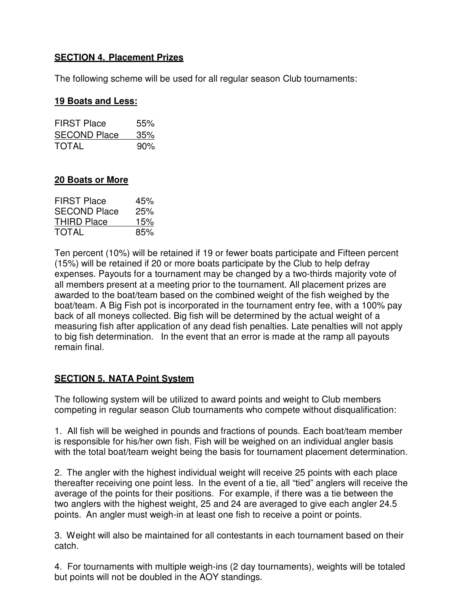# **SECTION 4. Placement Prizes**

The following scheme will be used for all regular season Club tournaments:

#### **19 Boats and Less:**

| <b>FIRST Place</b>  | 55% |
|---------------------|-----|
| <b>SECOND Place</b> | 35% |
| <b>TOTAL</b>        | 90% |

#### **20 Boats or More**

| <b>FIRST Place</b>  | 45% |
|---------------------|-----|
| <b>SECOND Place</b> | 25% |
| THIRD Place         | 15% |
| <b>TOTAL</b>        | 85% |

Ten percent (10%) will be retained if 19 or fewer boats participate and Fifteen percent (15%) will be retained if 20 or more boats participate by the Club to help defray expenses. Payouts for a tournament may be changed by a two-thirds majority vote of all members present at a meeting prior to the tournament. All placement prizes are awarded to the boat/team based on the combined weight of the fish weighed by the boat/team. A Big Fish pot is incorporated in the tournament entry fee, with a 100% pay back of all moneys collected. Big fish will be determined by the actual weight of a measuring fish after application of any dead fish penalties. Late penalties will not apply to big fish determination. In the event that an error is made at the ramp all payouts remain final.

## **SECTION 5. NATA Point System**

The following system will be utilized to award points and weight to Club members competing in regular season Club tournaments who compete without disqualification:

1. All fish will be weighed in pounds and fractions of pounds. Each boat/team member is responsible for his/her own fish. Fish will be weighed on an individual angler basis with the total boat/team weight being the basis for tournament placement determination.

2. The angler with the highest individual weight will receive 25 points with each place thereafter receiving one point less. In the event of a tie, all "tied" anglers will receive the average of the points for their positions. For example, if there was a tie between the two anglers with the highest weight, 25 and 24 are averaged to give each angler 24.5 points. An angler must weigh-in at least one fish to receive a point or points.

3. Weight will also be maintained for all contestants in each tournament based on their catch.

4. For tournaments with multiple weigh-ins (2 day tournaments), weights will be totaled but points will not be doubled in the AOY standings.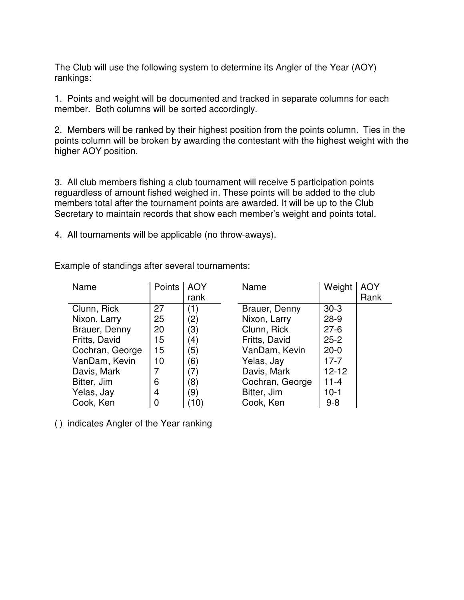The Club will use the following system to determine its Angler of the Year (AOY) rankings:

1. Points and weight will be documented and tracked in separate columns for each member. Both columns will be sorted accordingly.

2. Members will be ranked by their highest position from the points column. Ties in the points column will be broken by awarding the contestant with the highest weight with the higher AOY position.

3. All club members fishing a club tournament will receive 5 participation points reguardless of amount fished weighed in. These points will be added to the club members total after the tournament points are awarded. It will be up to the Club Secretary to maintain records that show each member's weight and points total.

4. All tournaments will be applicable (no throw-aways).

| Name            | Points | <b>AOY</b>        | Name            | Weight    | <b>AOY</b> |
|-----------------|--------|-------------------|-----------------|-----------|------------|
|                 |        | rank              |                 |           | Rank       |
| Clunn, Rick     | 27     | (1)               | Brauer, Denny   | $30-3$    |            |
| Nixon, Larry    | 25     | $\binom{2}{}$     | Nixon, Larry    | $28-9$    |            |
| Brauer, Denny   | 20     | (3)               | Clunn, Rick     | $27 - 6$  |            |
| Fritts, David   | 15     | $\left( 4\right)$ | Fritts, David   | $25 - 2$  |            |
| Cochran, George | 15     | (5)               | VanDam, Kevin   | $20 - 0$  |            |
| VanDam, Kevin   | 10     | (6)               | Yelas, Jay      | $17 - 7$  |            |
| Davis, Mark     | 7      | (7)               | Davis, Mark     | $12 - 12$ |            |
| Bitter, Jim     | 6      | (8)               | Cochran, George | $11 - 4$  |            |
| Yelas, Jay      | 4      | (9)               | Bitter, Jim     | $10 - 1$  |            |
| Cook, Ken       |        | 10)               | Cook, Ken       | $9 - 8$   |            |

Example of standings after several tournaments:

( ) indicates Angler of the Year ranking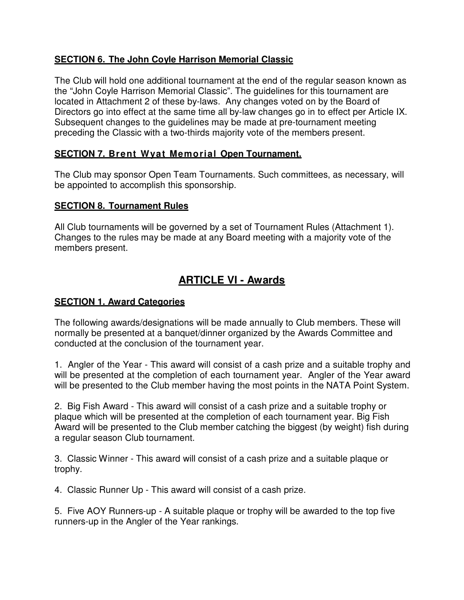# **SECTION 6. The John Coyle Harrison Memorial Classic**

The Club will hold one additional tournament at the end of the regular season known as the "John Coyle Harrison Memorial Classic". The guidelines for this tournament are located in Attachment 2 of these by-laws. Any changes voted on by the Board of Directors go into effect at the same time all by-law changes go in to effect per Article IX. Subsequent changes to the guidelines may be made at pre-tournament meeting preceding the Classic with a two-thirds majority vote of the members present.

## **SECTION 7. Brent Wyat Memorial Open Tournament.**

The Club may sponsor Open Team Tournaments. Such committees, as necessary, will be appointed to accomplish this sponsorship.

#### **SECTION 8. Tournament Rules**

All Club tournaments will be governed by a set of Tournament Rules (Attachment 1). Changes to the rules may be made at any Board meeting with a majority vote of the members present.

# **ARTICLE VI - Awards**

#### **SECTION 1. Award Categories**

The following awards/designations will be made annually to Club members. These will normally be presented at a banquet/dinner organized by the Awards Committee and conducted at the conclusion of the tournament year.

1. Angler of the Year - This award will consist of a cash prize and a suitable trophy and will be presented at the completion of each tournament year. Angler of the Year award will be presented to the Club member having the most points in the NATA Point System.

2. Big Fish Award - This award will consist of a cash prize and a suitable trophy or plaque which will be presented at the completion of each tournament year. Big Fish Award will be presented to the Club member catching the biggest (by weight) fish during a regular season Club tournament.

3. Classic Winner - This award will consist of a cash prize and a suitable plaque or trophy.

4. Classic Runner Up - This award will consist of a cash prize.

5. Five AOY Runners-up - A suitable plaque or trophy will be awarded to the top five runners-up in the Angler of the Year rankings.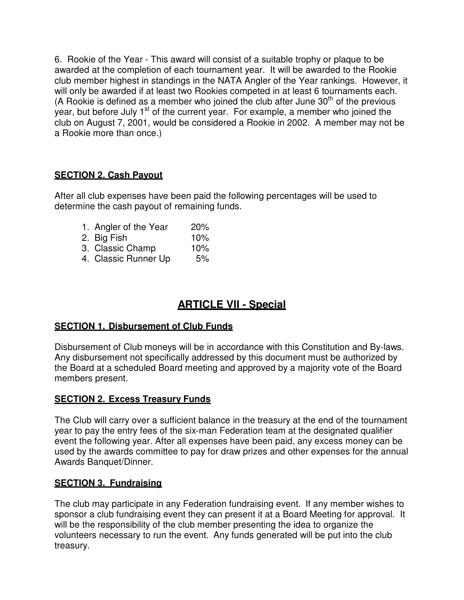6. Rookie of the Year - This award will consist of a suitable trophy or plaque to be awarded at the completion of each tournament year. It will be awarded to the Rookie club member highest in standings in the NATA Angler of the Year rankings. However, it will only be awarded if at least two Rookies competed in at least 6 tournaments each. (A Rookie is defined as a member who joined the club after June  $30<sup>th</sup>$  of the previous year, but before July  $1<sup>st</sup>$  of the current year. For example, a member who joined the club on August 7, 2001, would be considered a Rookie in 2002. A member may not be a Rookie more than once.)

# **SECTION 2. Cash Payout**

After all club expenses have been paid the following percentages will be used to determine the cash payout of remaining funds.

- 1. Angler of the Year 20%
- 2. Big Fish 10%
- 3. Classic Champ 10%
- 4. Classic Runner Up 5%

# **ARTICLE VII - Special**

## **SECTION 1. Disbursement of Club Funds**

Disbursement of Club moneys will be in accordance with this Constitution and By-laws. Any disbursement not specifically addressed by this document must be authorized by the Board at a scheduled Board meeting and approved by a majority vote of the Board members present.

## **SECTION 2. Excess Treasury Funds**

The Club will carry over a sufficient balance in the treasury at the end of the tournament year to pay the entry fees of the six-man Federation team at the designated qualifier event the following year. After all expenses have been paid, any excess money can be used by the awards committee to pay for draw prizes and other expenses for the annual Awards Banquet/Dinner.

## **SECTION 3. Fundraising**

The club may participate in any Federation fundraising event. If any member wishes to sponsor a club fundraising event they can present it at a Board Meeting for approval. It will be the responsibility of the club member presenting the idea to organize the volunteers necessary to run the event. Any funds generated will be put into the club treasury.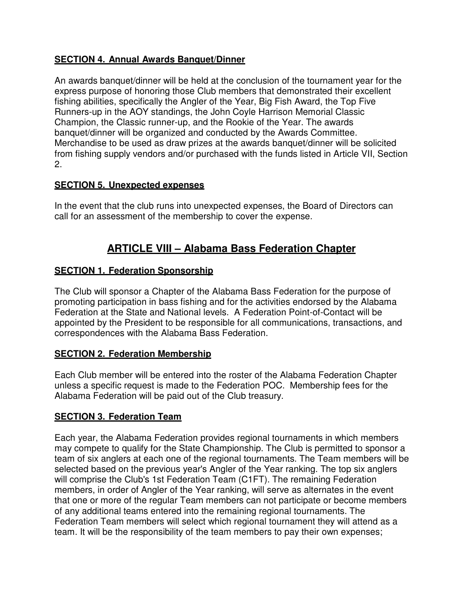# **SECTION 4. Annual Awards Banquet/Dinner**

An awards banquet/dinner will be held at the conclusion of the tournament year for the express purpose of honoring those Club members that demonstrated their excellent fishing abilities, specifically the Angler of the Year, Big Fish Award, the Top Five Runners-up in the AOY standings, the John Coyle Harrison Memorial Classic Champion, the Classic runner-up, and the Rookie of the Year. The awards banquet/dinner will be organized and conducted by the Awards Committee. Merchandise to be used as draw prizes at the awards banquet/dinner will be solicited from fishing supply vendors and/or purchased with the funds listed in Article VII, Section 2.

## **SECTION 5. Unexpected expenses**

In the event that the club runs into unexpected expenses, the Board of Directors can call for an assessment of the membership to cover the expense.

# **ARTICLE VIII – Alabama Bass Federation Chapter**

# **SECTION 1. Federation Sponsorship**

The Club will sponsor a Chapter of the Alabama Bass Federation for the purpose of promoting participation in bass fishing and for the activities endorsed by the Alabama Federation at the State and National levels. A Federation Point-of-Contact will be appointed by the President to be responsible for all communications, transactions, and correspondences with the Alabama Bass Federation.

## **SECTION 2. Federation Membership**

Each Club member will be entered into the roster of the Alabama Federation Chapter unless a specific request is made to the Federation POC. Membership fees for the Alabama Federation will be paid out of the Club treasury.

## **SECTION 3. Federation Team**

Each year, the Alabama Federation provides regional tournaments in which members may compete to qualify for the State Championship. The Club is permitted to sponsor a team of six anglers at each one of the regional tournaments. The Team members will be selected based on the previous year's Angler of the Year ranking. The top six anglers will comprise the Club's 1st Federation Team (C1FT). The remaining Federation members, in order of Angler of the Year ranking, will serve as alternates in the event that one or more of the regular Team members can not participate or become members of any additional teams entered into the remaining regional tournaments. The Federation Team members will select which regional tournament they will attend as a team. It will be the responsibility of the team members to pay their own expenses;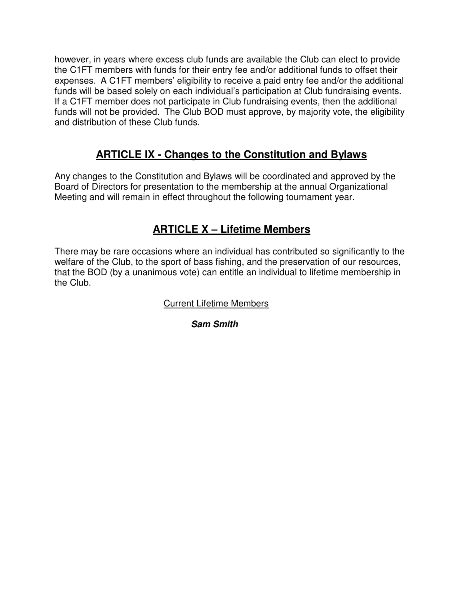however, in years where excess club funds are available the Club can elect to provide the C1FT members with funds for their entry fee and/or additional funds to offset their expenses. A C1FT members' eligibility to receive a paid entry fee and/or the additional funds will be based solely on each individual's participation at Club fundraising events. If a C1FT member does not participate in Club fundraising events, then the additional funds will not be provided. The Club BOD must approve, by majority vote, the eligibility and distribution of these Club funds.

# **ARTICLE IX - Changes to the Constitution and Bylaws**

Any changes to the Constitution and Bylaws will be coordinated and approved by the Board of Directors for presentation to the membership at the annual Organizational Meeting and will remain in effect throughout the following tournament year.

# **ARTICLE X – Lifetime Members**

There may be rare occasions where an individual has contributed so significantly to the welfare of the Club, to the sport of bass fishing, and the preservation of our resources, that the BOD (by a unanimous vote) can entitle an individual to lifetime membership in the Club.

Current Lifetime Members

**Sam Smith**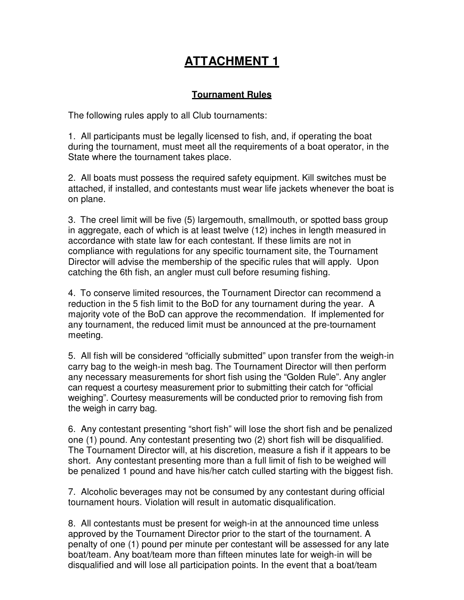# **ATTACHMENT 1**

#### **Tournament Rules**

The following rules apply to all Club tournaments:

1. All participants must be legally licensed to fish, and, if operating the boat during the tournament, must meet all the requirements of a boat operator, in the State where the tournament takes place.

2. All boats must possess the required safety equipment. Kill switches must be attached, if installed, and contestants must wear life jackets whenever the boat is on plane.

3. The creel limit will be five (5) largemouth, smallmouth, or spotted bass group in aggregate, each of which is at least twelve (12) inches in length measured in accordance with state law for each contestant. If these limits are not in compliance with regulations for any specific tournament site, the Tournament Director will advise the membership of the specific rules that will apply. Upon catching the 6th fish, an angler must cull before resuming fishing.

4. To conserve limited resources, the Tournament Director can recommend a reduction in the 5 fish limit to the BoD for any tournament during the year. A majority vote of the BoD can approve the recommendation. If implemented for any tournament, the reduced limit must be announced at the pre-tournament meeting.

5. All fish will be considered "officially submitted" upon transfer from the weigh-in carry bag to the weigh-in mesh bag. The Tournament Director will then perform any necessary measurements for short fish using the "Golden Rule". Any angler can request a courtesy measurement prior to submitting their catch for "official weighing". Courtesy measurements will be conducted prior to removing fish from the weigh in carry bag.

6. Any contestant presenting "short fish" will lose the short fish and be penalized one (1) pound. Any contestant presenting two (2) short fish will be disqualified. The Tournament Director will, at his discretion, measure a fish if it appears to be short. Any contestant presenting more than a full limit of fish to be weighed will be penalized 1 pound and have his/her catch culled starting with the biggest fish.

7. Alcoholic beverages may not be consumed by any contestant during official tournament hours. Violation will result in automatic disqualification.

8. All contestants must be present for weigh-in at the announced time unless approved by the Tournament Director prior to the start of the tournament. A penalty of one (1) pound per minute per contestant will be assessed for any late boat/team. Any boat/team more than fifteen minutes late for weigh-in will be disqualified and will lose all participation points. In the event that a boat/team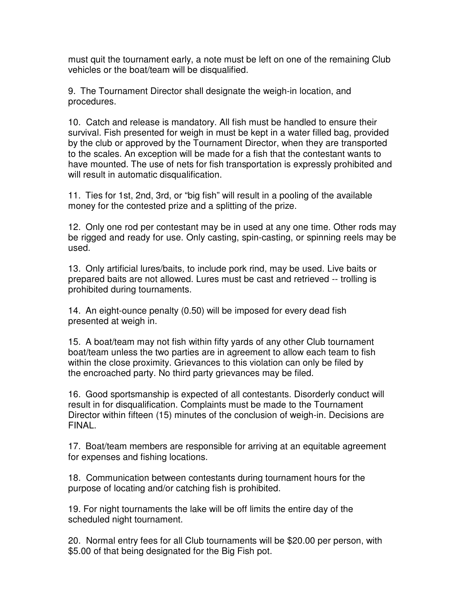must quit the tournament early, a note must be left on one of the remaining Club vehicles or the boat/team will be disqualified.

9. The Tournament Director shall designate the weigh-in location, and procedures.

10. Catch and release is mandatory. All fish must be handled to ensure their survival. Fish presented for weigh in must be kept in a water filled bag, provided by the club or approved by the Tournament Director, when they are transported to the scales. An exception will be made for a fish that the contestant wants to have mounted. The use of nets for fish transportation is expressly prohibited and will result in automatic disqualification.

11. Ties for 1st, 2nd, 3rd, or "big fish" will result in a pooling of the available money for the contested prize and a splitting of the prize.

12. Only one rod per contestant may be in used at any one time. Other rods may be rigged and ready for use. Only casting, spin-casting, or spinning reels may be used.

13. Only artificial lures/baits, to include pork rind, may be used. Live baits or prepared baits are not allowed. Lures must be cast and retrieved -- trolling is prohibited during tournaments.

14. An eight-ounce penalty (0.50) will be imposed for every dead fish presented at weigh in.

15. A boat/team may not fish within fifty yards of any other Club tournament boat/team unless the two parties are in agreement to allow each team to fish within the close proximity. Grievances to this violation can only be filed by the encroached party. No third party grievances may be filed.

16. Good sportsmanship is expected of all contestants. Disorderly conduct will result in for disqualification. Complaints must be made to the Tournament Director within fifteen (15) minutes of the conclusion of weigh-in. Decisions are FINAL.

17. Boat/team members are responsible for arriving at an equitable agreement for expenses and fishing locations.

18. Communication between contestants during tournament hours for the purpose of locating and/or catching fish is prohibited.

19. For night tournaments the lake will be off limits the entire day of the scheduled night tournament.

20. Normal entry fees for all Club tournaments will be \$20.00 per person, with \$5.00 of that being designated for the Big Fish pot.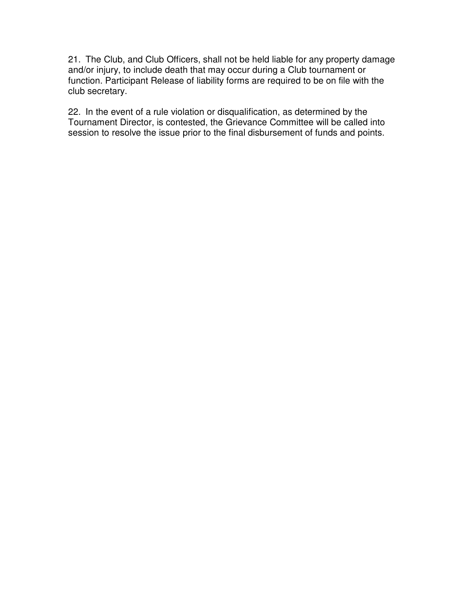21. The Club, and Club Officers, shall not be held liable for any property damage and/or injury, to include death that may occur during a Club tournament or function. Participant Release of liability forms are required to be on file with the club secretary.

22. In the event of a rule violation or disqualification, as determined by the Tournament Director, is contested, the Grievance Committee will be called into session to resolve the issue prior to the final disbursement of funds and points.